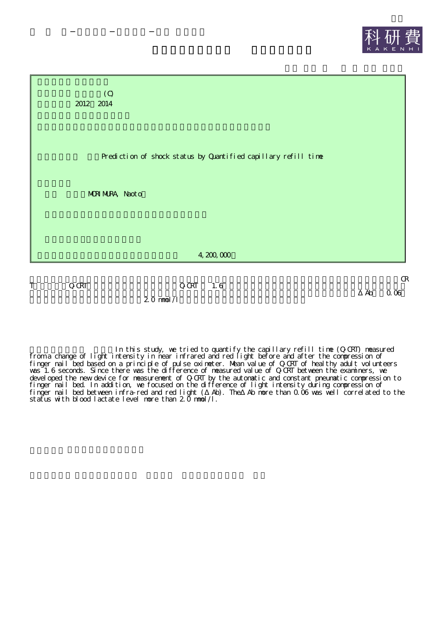

2.0 mmol/l

In this study, we tried to quantify the capillary refill time (Q-CRT) measured from a change of light intensity in near infrared and red light before and after the compression of finger nail bed based on a principle of pulse oximeter. Mean value of Q-CRT of healthy adult volunteers was 1.6 seconds. Since there was the difference of measured value of Q-CRT between the examiners, we developed the new device for measurement of Q-CRT by the automatic and constant pneumatic compression to finger nail bed. In addition, we focused on the difference of light intensity during compression of finger nail bed between infra-red and red light ( Ab). The Ab more than 0.06 was well correlated to the status with blood lactate level more than 2.0 mmol/l.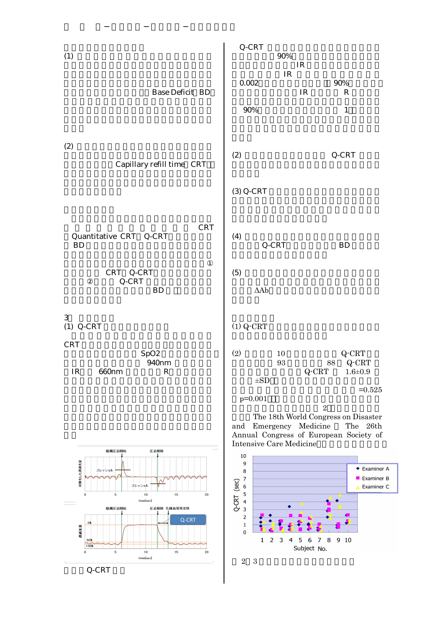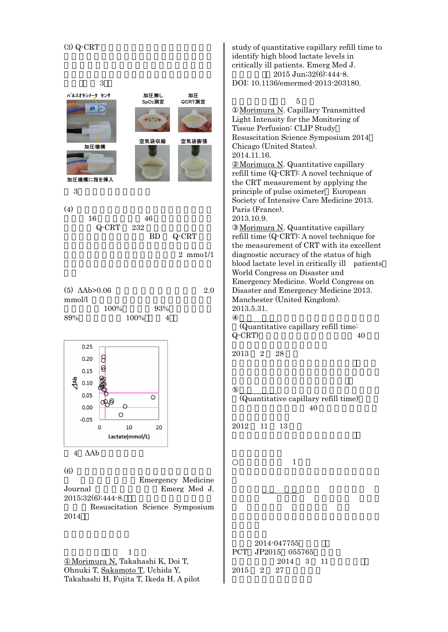